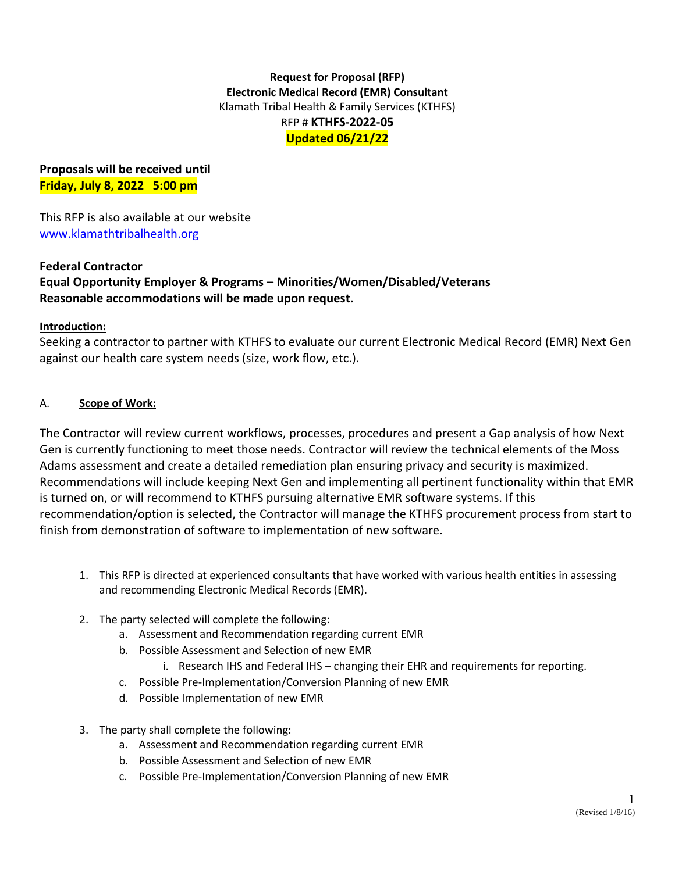## **Request for Proposal (RFP) Electronic Medical Record (EMR) Consultant** Klamath Tribal Health & Family Services (KTHFS) RFP # **KTHFS-2022-05 Updated 06/21/22**

**Proposals will be received until Friday, July 8, 2022 5:00 pm**

This RFP is also available at our website www.klamathtribalhealth.org

## **Federal Contractor Equal Opportunity Employer & Programs – Minorities/Women/Disabled/Veterans Reasonable accommodations will be made upon request.**

### **Introduction:**

Seeking a contractor to partner with KTHFS to evaluate our current Electronic Medical Record (EMR) Next Gen against our health care system needs (size, work flow, etc.).

### A. **Scope of Work:**

The Contractor will review current workflows, processes, procedures and present a Gap analysis of how Next Gen is currently functioning to meet those needs. Contractor will review the technical elements of the Moss Adams assessment and create a detailed remediation plan ensuring privacy and security is maximized. Recommendations will include keeping Next Gen and implementing all pertinent functionality within that EMR is turned on, or will recommend to KTHFS pursuing alternative EMR software systems. If this recommendation/option is selected, the Contractor will manage the KTHFS procurement process from start to finish from demonstration of software to implementation of new software.

- 1. This RFP is directed at experienced consultants that have worked with various health entities in assessing and recommending Electronic Medical Records (EMR).
- 2. The party selected will complete the following:
	- a. Assessment and Recommendation regarding current EMR
	- b. Possible Assessment and Selection of new EMR
		- i. Research IHS and Federal IHS changing their EHR and requirements for reporting.
	- c. Possible Pre-Implementation/Conversion Planning of new EMR
	- d. Possible Implementation of new EMR
- 3. The party shall complete the following:
	- a. Assessment and Recommendation regarding current EMR
	- b. Possible Assessment and Selection of new EMR
	- c. Possible Pre-Implementation/Conversion Planning of new EMR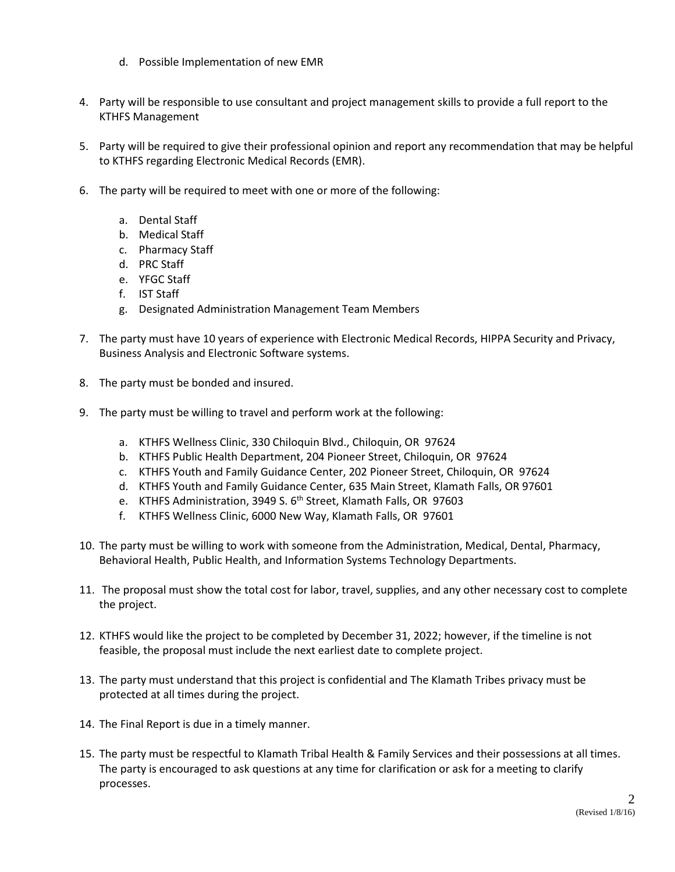- d. Possible Implementation of new EMR
- 4. Party will be responsible to use consultant and project management skills to provide a full report to the KTHFS Management
- 5. Party will be required to give their professional opinion and report any recommendation that may be helpful to KTHFS regarding Electronic Medical Records (EMR).
- 6. The party will be required to meet with one or more of the following:
	- a. Dental Staff
	- b. Medical Staff
	- c. Pharmacy Staff
	- d. PRC Staff
	- e. YFGC Staff
	- f. IST Staff
	- g. Designated Administration Management Team Members
- 7. The party must have 10 years of experience with Electronic Medical Records, HIPPA Security and Privacy, Business Analysis and Electronic Software systems.
- 8. The party must be bonded and insured.
- 9. The party must be willing to travel and perform work at the following:
	- a. KTHFS Wellness Clinic, 330 Chiloquin Blvd., Chiloquin, OR 97624
	- b. KTHFS Public Health Department, 204 Pioneer Street, Chiloquin, OR 97624
	- c. KTHFS Youth and Family Guidance Center, 202 Pioneer Street, Chiloquin, OR 97624
	- d. KTHFS Youth and Family Guidance Center, 635 Main Street, Klamath Falls, OR 97601
	- e. KTHFS Administration, 3949 S. 6<sup>th</sup> Street, Klamath Falls, OR 97603
	- f. KTHFS Wellness Clinic, 6000 New Way, Klamath Falls, OR 97601
- 10. The party must be willing to work with someone from the Administration, Medical, Dental, Pharmacy, Behavioral Health, Public Health, and Information Systems Technology Departments.
- 11. The proposal must show the total cost for labor, travel, supplies, and any other necessary cost to complete the project.
- 12. KTHFS would like the project to be completed by December 31, 2022; however, if the timeline is not feasible, the proposal must include the next earliest date to complete project.
- 13. The party must understand that this project is confidential and The Klamath Tribes privacy must be protected at all times during the project.
- 14. The Final Report is due in a timely manner.
- 15. The party must be respectful to Klamath Tribal Health & Family Services and their possessions at all times. The party is encouraged to ask questions at any time for clarification or ask for a meeting to clarify processes.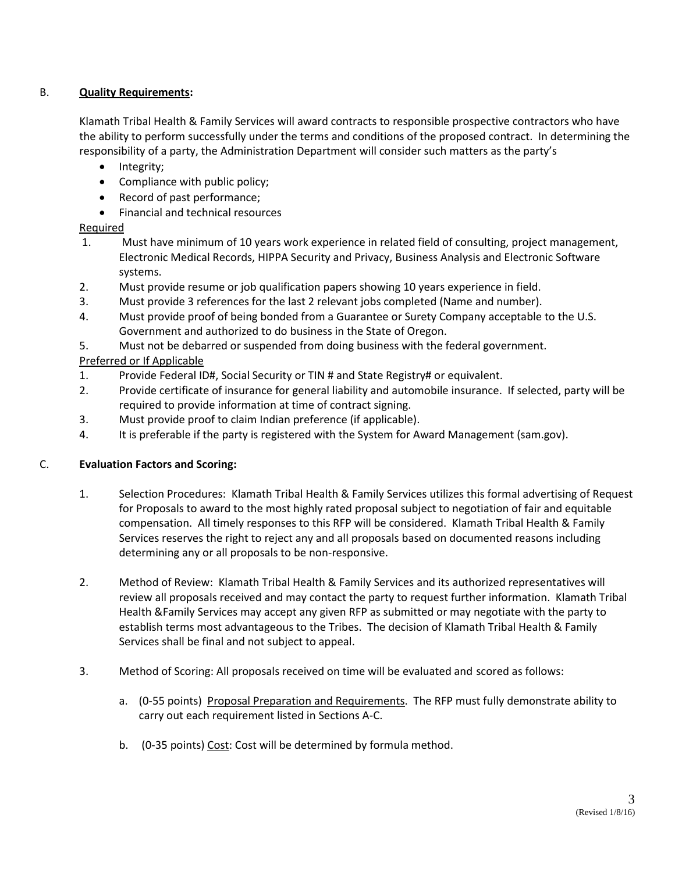## B. **Quality Requirements:**

Klamath Tribal Health & Family Services will award contracts to responsible prospective contractors who have the ability to perform successfully under the terms and conditions of the proposed contract. In determining the responsibility of a party, the Administration Department will consider such matters as the party's

- Integrity;
- Compliance with public policy;
- Record of past performance;
- Financial and technical resources

## Required

- 1. Must have minimum of 10 years work experience in related field of consulting, project management, Electronic Medical Records, HIPPA Security and Privacy, Business Analysis and Electronic Software systems.
- 2. Must provide resume or job qualification papers showing 10 years experience in field.
- 3. Must provide 3 references for the last 2 relevant jobs completed (Name and number).
- 4. Must provide proof of being bonded from a Guarantee or Surety Company acceptable to the U.S. Government and authorized to do business in the State of Oregon.
- 5. Must not be debarred or suspended from doing business with the federal government.

# Preferred or If Applicable

- 1. Provide Federal ID#, Social Security or TIN # and State Registry# or equivalent.
- 2. Provide certificate of insurance for general liability and automobile insurance. If selected, party will be required to provide information at time of contract signing.
- 3. Must provide proof to claim Indian preference (if applicable).
- 4. It is preferable if the party is registered with the System for Award Management (sam.gov).

## C. **Evaluation Factors and Scoring:**

- 1. Selection Procedures: Klamath Tribal Health & Family Services utilizes this formal advertising of Request for Proposals to award to the most highly rated proposal subject to negotiation of fair and equitable compensation. All timely responses to this RFP will be considered. Klamath Tribal Health & Family Services reserves the right to reject any and all proposals based on documented reasons including determining any or all proposals to be non-responsive.
- 2. Method of Review: Klamath Tribal Health & Family Services and its authorized representatives will review all proposals received and may contact the party to request further information. Klamath Tribal Health &Family Services may accept any given RFP as submitted or may negotiate with the party to establish terms most advantageous to the Tribes. The decision of Klamath Tribal Health & Family Services shall be final and not subject to appeal.
- 3. Method of Scoring: All proposals received on time will be evaluated and scored as follows:
	- a. (0-55 points) Proposal Preparation and Requirements. The RFP must fully demonstrate ability to carry out each requirement listed in Sections A-C.
	- b. (0-35 points) Cost: Cost will be determined by formula method.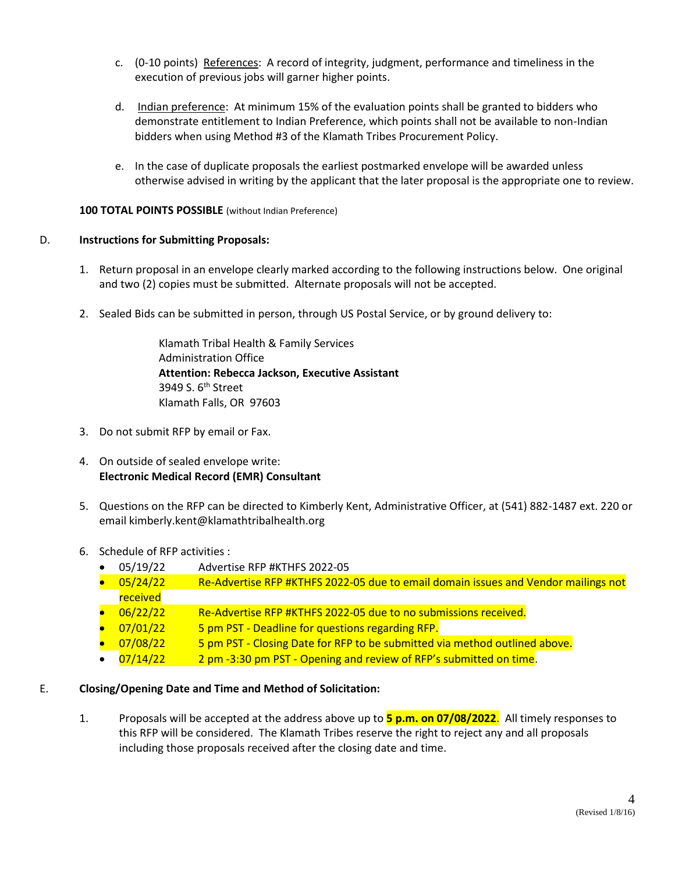- c. (0-10 points) References: A record of integrity, judgment, performance and timeliness in the execution of previous jobs will garner higher points.
- d. Indian preference: At minimum 15% of the evaluation points shall be granted to bidders who demonstrate entitlement to Indian Preference, which points shall not be available to non-Indian bidders when using Method #3 of the Klamath Tribes Procurement Policy.
- e. In the case of duplicate proposals the earliest postmarked envelope will be awarded unless otherwise advised in writing by the applicant that the later proposal is the appropriate one to review.

#### **100 TOTAL POINTS POSSIBLE** (without Indian Preference)

### D. **Instructions for Submitting Proposals:**

- 1. Return proposal in an envelope clearly marked according to the following instructions below. One original and two (2) copies must be submitted. Alternate proposals will not be accepted.
- 2. Sealed Bids can be submitted in person, through US Postal Service, or by ground delivery to:

Klamath Tribal Health & Family Services Administration Office **Attention: Rebecca Jackson, Executive Assistant** 3949 S. 6<sup>th</sup> Street Klamath Falls, OR 97603

- 3. Do not submit RFP by email or Fax.
- 4. On outside of sealed envelope write: **Electronic Medical Record (EMR) Consultant**
- 5. Questions on the RFP can be directed to Kimberly Kent, Administrative Officer, at (541) 882-1487 ext. 220 or email kimberly.kent@klamathtribalhealth.org
- 6. Schedule of RFP activities :
	- 05/19/22 Advertise RFP #KTHFS 2022-05
	- 05/24/22 Re-Advertise RFP #KTHFS 2022-05 due to email domain issues and Vendor mailings not received
	- 06/22/22 Re-Advertise RFP #KTHFS 2022-05 due to no submissions received.
	- 07/01/22 5 pm PST Deadline for questions regarding RFP.
	- 07/08/22 5 pm PST Closing Date for RFP to be submitted via method outlined above.
	- $\bullet$  07/14/22 2 pm -3:30 pm PST Opening and review of RFP's submitted on time.

### E. **Closing/Opening Date and Time and Method of Solicitation:**

1. Proposals will be accepted at the address above up to **5 p.m. on 07/08/2022**. All timely responses to this RFP will be considered. The Klamath Tribes reserve the right to reject any and all proposals including those proposals received after the closing date and time.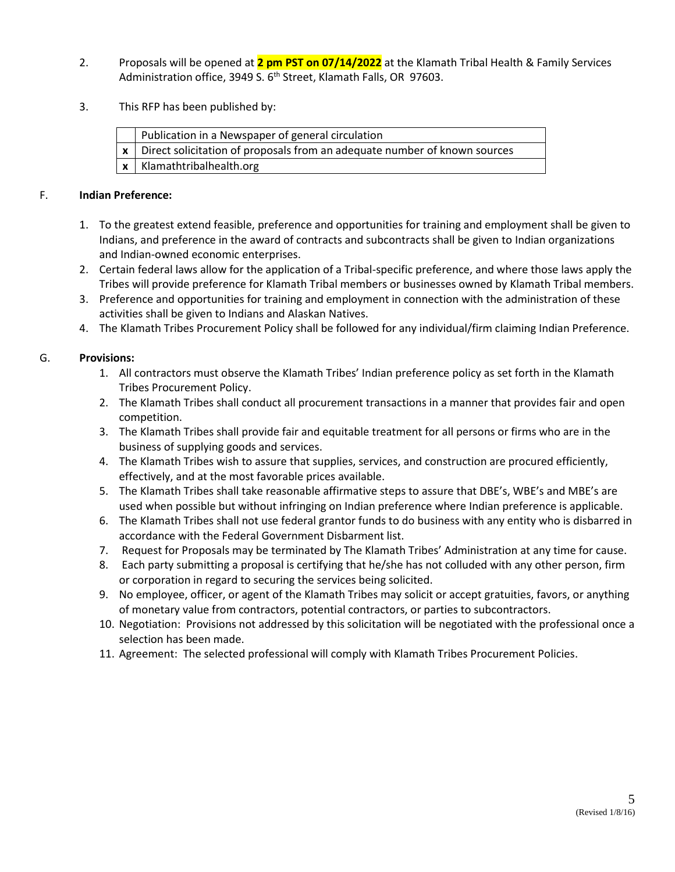- 2. Proposals will be opened at **2 pm PST on 07/14/2022** at the Klamath Tribal Health & Family Services Administration office, 3949 S. 6<sup>th</sup> Street, Klamath Falls, OR 97603.
- 3. This RFP has been published by:

| Publication in a Newspaper of general circulation                                         |
|-------------------------------------------------------------------------------------------|
| $\vert x \vert$ Direct solicitation of proposals from an adequate number of known sources |
| $x$   Klamathtribalhealth.org                                                             |

#### F. **Indian Preference:**

- 1. To the greatest extend feasible, preference and opportunities for training and employment shall be given to Indians, and preference in the award of contracts and subcontracts shall be given to Indian organizations and Indian-owned economic enterprises.
- 2. Certain federal laws allow for the application of a Tribal-specific preference, and where those laws apply the Tribes will provide preference for Klamath Tribal members or businesses owned by Klamath Tribal members.
- 3. Preference and opportunities for training and employment in connection with the administration of these activities shall be given to Indians and Alaskan Natives.
- 4. The Klamath Tribes Procurement Policy shall be followed for any individual/firm claiming Indian Preference.

### G. **Provisions:**

- 1. All contractors must observe the Klamath Tribes' Indian preference policy as set forth in the Klamath Tribes Procurement Policy.
- 2. The Klamath Tribes shall conduct all procurement transactions in a manner that provides fair and open competition.
- 3. The Klamath Tribes shall provide fair and equitable treatment for all persons or firms who are in the business of supplying goods and services.
- 4. The Klamath Tribes wish to assure that supplies, services, and construction are procured efficiently, effectively, and at the most favorable prices available.
- 5. The Klamath Tribes shall take reasonable affirmative steps to assure that DBE's, WBE's and MBE's are used when possible but without infringing on Indian preference where Indian preference is applicable.
- 6. The Klamath Tribes shall not use federal grantor funds to do business with any entity who is disbarred in accordance with the Federal Government Disbarment list.
- 7. Request for Proposals may be terminated by The Klamath Tribes' Administration at any time for cause.
- 8. Each party submitting a proposal is certifying that he/she has not colluded with any other person, firm or corporation in regard to securing the services being solicited.
- 9. No employee, officer, or agent of the Klamath Tribes may solicit or accept gratuities, favors, or anything of monetary value from contractors, potential contractors, or parties to subcontractors.
- 10. Negotiation: Provisions not addressed by this solicitation will be negotiated with the professional once a selection has been made.
- 11. Agreement: The selected professional will comply with Klamath Tribes Procurement Policies.